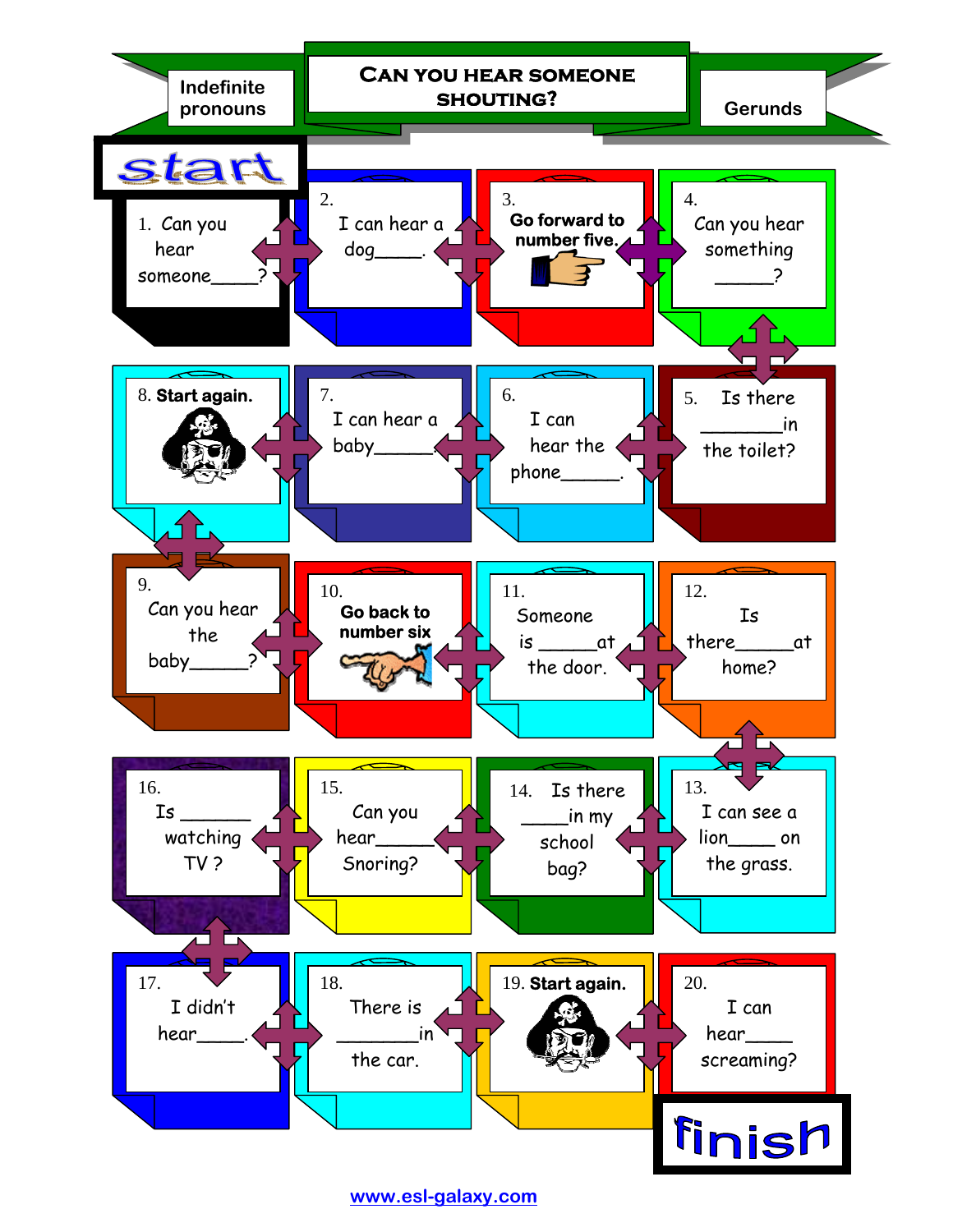

**[www.esl-galaxy.com](http://www.esl-galaxy.com/)**